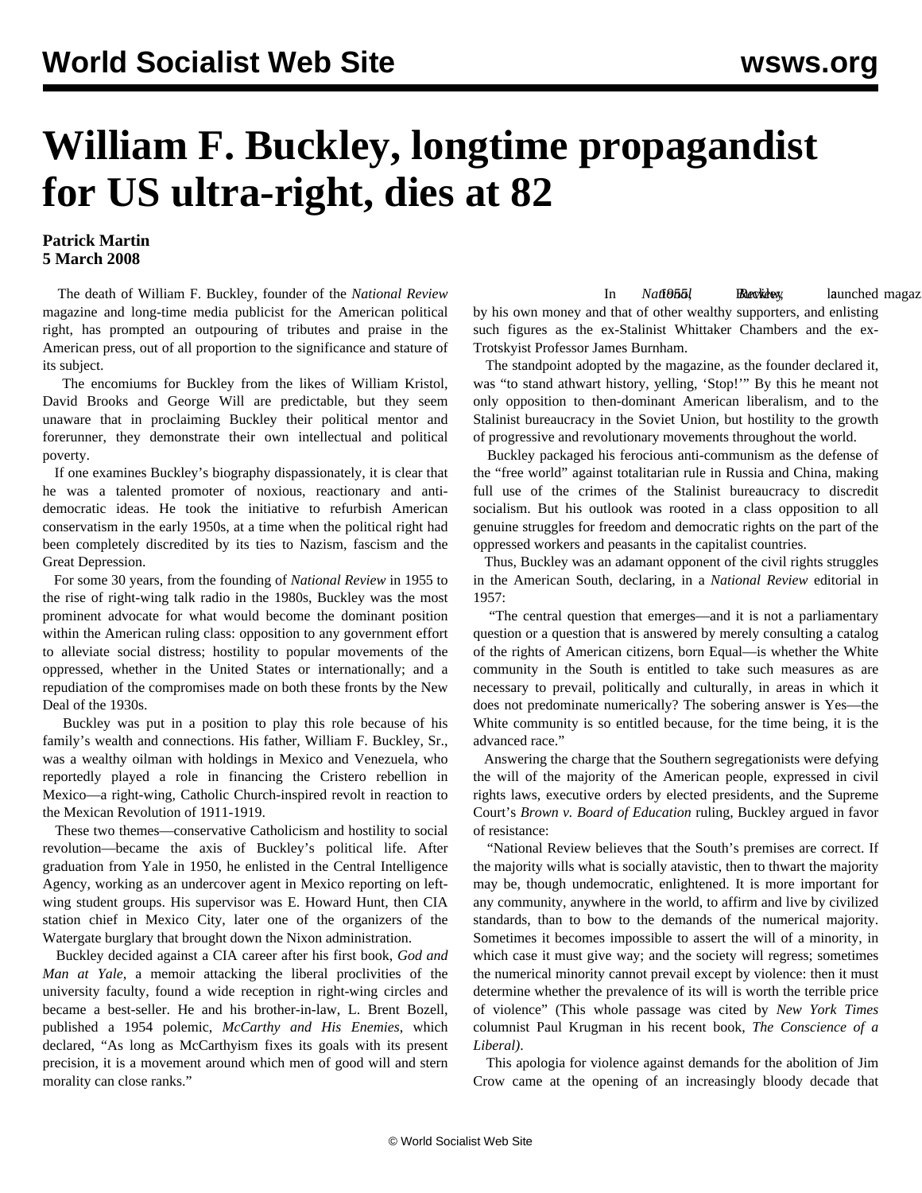## **William F. Buckley, longtime propagandist for US ultra-right, dies at 82**

## **Patrick Martin 5 March 2008**

 The death of William F. Buckley, founder of the *National Review* magazine and long-time media publicist for the American political right, has prompted an outpouring of tributes and praise in the American press, out of all proportion to the significance and stature of its subject.

 The encomiums for Buckley from the likes of William Kristol, David Brooks and George Will are predictable, but they seem unaware that in proclaiming Buckley their political mentor and forerunner, they demonstrate their own intellectual and political poverty.

 If one examines Buckley's biography dispassionately, it is clear that he was a talented promoter of noxious, reactionary and antidemocratic ideas. He took the initiative to refurbish American conservatism in the early 1950s, at a time when the political right had been completely discredited by its ties to Nazism, fascism and the Great Depression.

 For some 30 years, from the founding of *National Review* in 1955 to the rise of right-wing talk radio in the 1980s, Buckley was the most prominent advocate for what would become the dominant position within the American ruling class: opposition to any government effort to alleviate social distress; hostility to popular movements of the oppressed, whether in the United States or internationally; and a repudiation of the compromises made on both these fronts by the New Deal of the 1930s.

 Buckley was put in a position to play this role because of his family's wealth and connections. His father, William F. Buckley, Sr., was a wealthy oilman with holdings in Mexico and Venezuela, who reportedly played a role in financing the Cristero rebellion in Mexico—a right-wing, Catholic Church-inspired revolt in reaction to the Mexican Revolution of 1911-1919.

 These two themes—conservative Catholicism and hostility to social revolution—became the axis of Buckley's political life. After graduation from Yale in 1950, he enlisted in the Central Intelligence Agency, working as an undercover agent in Mexico reporting on leftwing student groups. His supervisor was E. Howard Hunt, then CIA station chief in Mexico City, later one of the organizers of the Watergate burglary that brought down the Nixon administration.

 Buckley decided against a CIA career after his first book, *God and Man at Yale*, a memoir attacking the liberal proclivities of the university faculty, found a wide reception in right-wing circles and became a best-seller. He and his brother-in-law, L. Brent Bozell, published a 1954 polemic, *McCarthy and His Enemies*, which declared, "As long as McCarthyism fixes its goals with its present precision, it is a movement around which men of good will and stern morality can close ranks."

In *National* Buckley launched magazine bankrolled *National* Buckley bankrolled magazine bankrolled bankrolled bankrolled magazine bankrolled magazine bankrolled magazine bankrolled magazine bankrolled magazine bankrolled by his own money and that of other wealthy supporters, and enlisting such figures as the ex-Stalinist Whittaker Chambers and the ex-Trotskyist Professor James Burnham.

 The standpoint adopted by the magazine, as the founder declared it, was "to stand athwart history, yelling, 'Stop!'" By this he meant not only opposition to then-dominant American liberalism, and to the Stalinist bureaucracy in the Soviet Union, but hostility to the growth of progressive and revolutionary movements throughout the world.

 Buckley packaged his ferocious anti-communism as the defense of the "free world" against totalitarian rule in Russia and China, making full use of the crimes of the Stalinist bureaucracy to discredit socialism. But his outlook was rooted in a class opposition to all genuine struggles for freedom and democratic rights on the part of the oppressed workers and peasants in the capitalist countries.

 Thus, Buckley was an adamant opponent of the civil rights struggles in the American South, declaring, in a *National Review* editorial in 1957:

 "The central question that emerges—and it is not a parliamentary question or a question that is answered by merely consulting a catalog of the rights of American citizens, born Equal—is whether the White community in the South is entitled to take such measures as are necessary to prevail, politically and culturally, in areas in which it does not predominate numerically? The sobering answer is Yes—the White community is so entitled because, for the time being, it is the advanced race."

 Answering the charge that the Southern segregationists were defying the will of the majority of the American people, expressed in civil rights laws, executive orders by elected presidents, and the Supreme Court's *Brown v. Board of Education* ruling, Buckley argued in favor of resistance:

 "National Review believes that the South's premises are correct. If the majority wills what is socially atavistic, then to thwart the majority may be, though undemocratic, enlightened. It is more important for any community, anywhere in the world, to affirm and live by civilized standards, than to bow to the demands of the numerical majority. Sometimes it becomes impossible to assert the will of a minority, in which case it must give way; and the society will regress; sometimes the numerical minority cannot prevail except by violence: then it must determine whether the prevalence of its will is worth the terrible price of violence" (This whole passage was cited by *New York Times* columnist Paul Krugman in his recent book, *The Conscience of a Liberal)*.

 This apologia for violence against demands for the abolition of Jim Crow came at the opening of an increasingly bloody decade that